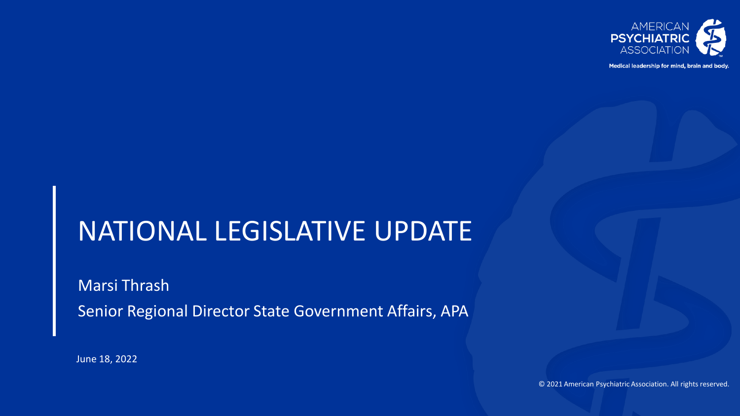

Medical leadership for mind, brain and body.

# NATIONAL LEGISLATIVE UPDATE

Marsi Thrash Senior Regional Director State Government Affairs, APA

June 18, 2022

© 2021 American Psychiatric Association. All rights reserved.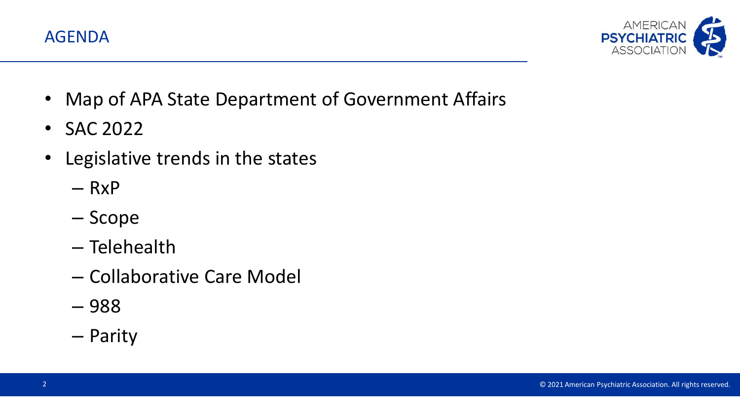



- Map of APA State Department of Government Affairs
- SAC 2022
- Legislative trends in the states
	- $RxP$
	- Scope
	- Telehealth
	- Collaborative Care Model
	- 988
	- Parity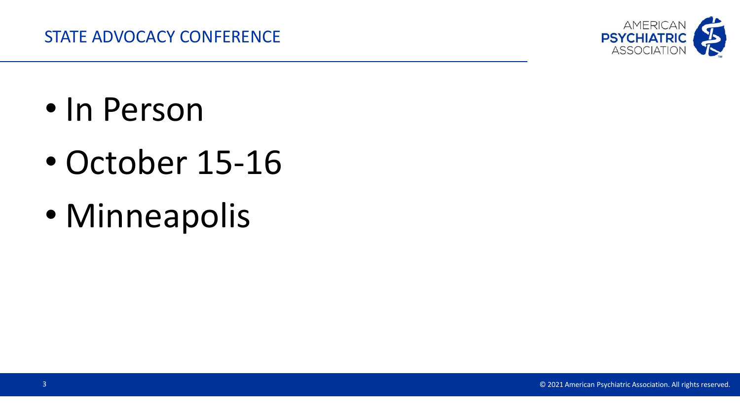

- In Person
- October 15-16
- Minneapolis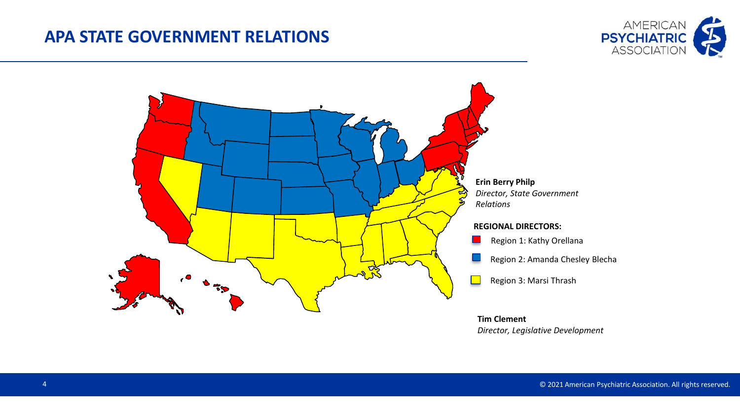### **APA STATE GOVERNMENT RELATIONS**





*Director, Legislative Development*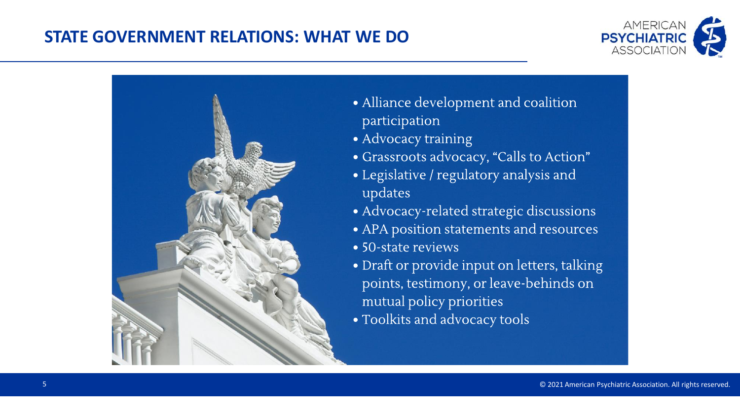## **STATE GOVERNMENT RELATIONS: WHAT WE DO**





- Alliance development and coalition participation
- Advocacy training
- · Grassroots advocacy, "Calls to Action"
- Legislative / regulatory analysis and updates
- · Advocacy-related strategic discussions
- APA position statements and resources
- 50-state reviews
- Draft or provide input on letters, talking points, testimony, or leave-behinds on mutual policy priorities
- Toolkits and advocacy tools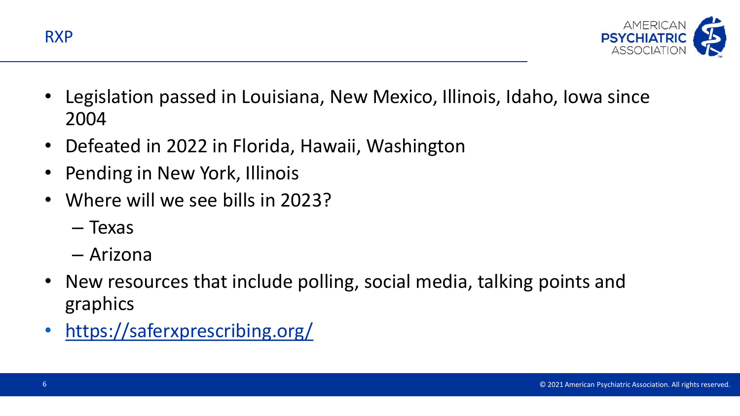



- Legislation passed in Louisiana, New Mexico, Illinois, Idaho, Iowa since 2004
- Defeated in 2022 in Florida, Hawaii, Washington
- Pending in New York, Illinois
- Where will we see bills in 2023?
	- Texas
	- Arizona
- New resources that include polling, social media, talking points and graphics
- <https://saferxprescribing.org/>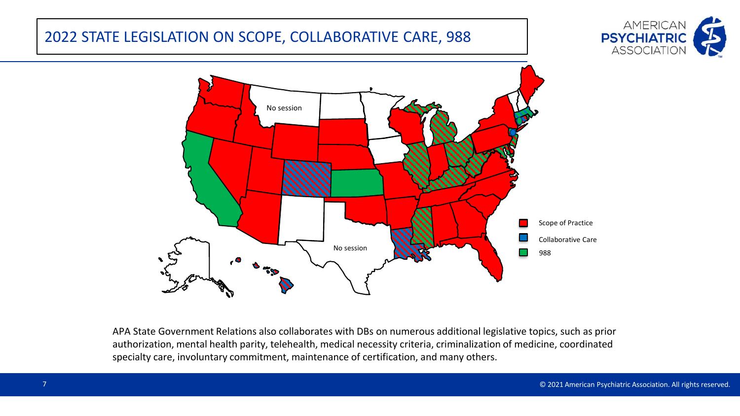#### 2022 STATE LEGISLATION ON SCOPE, COLLABORATIVE CARE, 988





APA State Government Relations also collaborates with DBs on numerous additional legislative topics, such as prior authorization, mental health parity, telehealth, medical necessity criteria, criminalization of medicine, coordinated specialty care, involuntary commitment, maintenance of certification, and many others.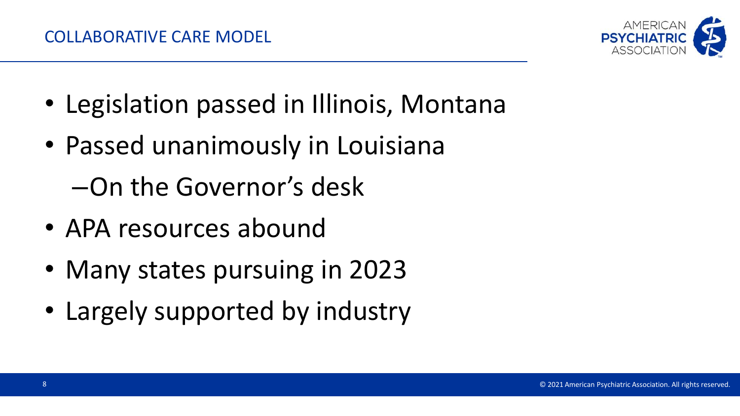

- Legislation passed in Illinois, Montana
- Passed unanimously in Louisiana –On the Governor's desk
- APA resources abound
- Many states pursuing in 2023
- Largely supported by industry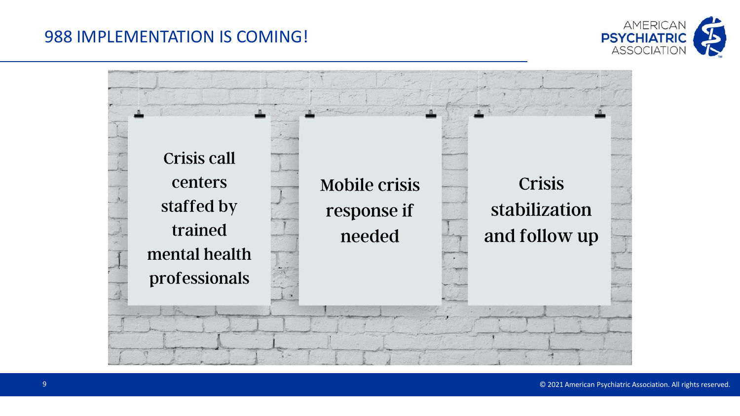# 988 IMPLEMENTATION IS COMING!



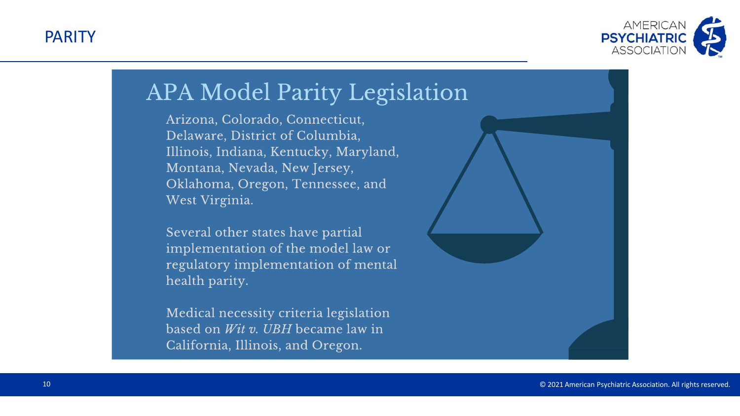PARITY



# **APA Model Parity Legislation**

Arizona, Colorado, Connecticut, Delaware, District of Columbia, Illinois, Indiana, Kentucky, Maryland, Montana, Nevada, New Jersey, Oklahoma, Oregon, Tennessee, and West Virginia.

Several other states have partial implementation of the model law or regulatory implementation of mental health parity.

Medical necessity criteria legislation based on *Wit v. UBH* became law in California, Illinois, and Oregon.